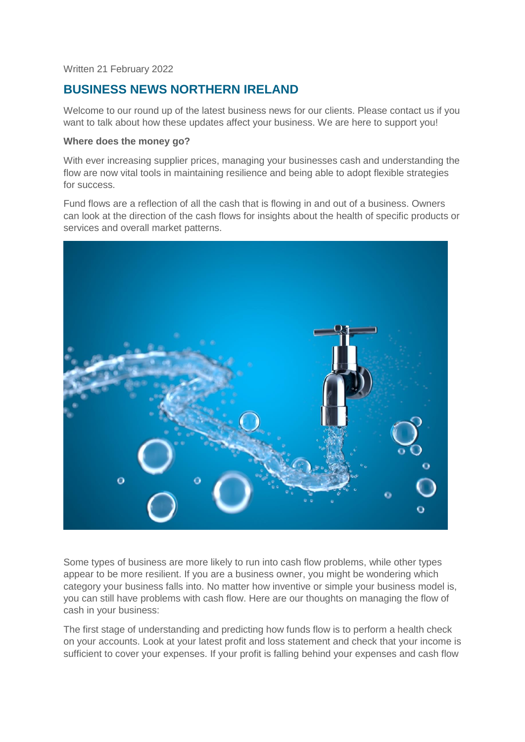Written 21 February 2022

# **BUSINESS NEWS NORTHERN IRELAND**

Welcome to our round up of the latest business news for our clients. Please contact us if you want to talk about how these updates affect your business. We are here to support you!

#### **Where does the money go?**

With ever increasing supplier prices, managing your businesses cash and understanding the flow are now vital tools in maintaining resilience and being able to adopt flexible strategies for success.

Fund flows are a reflection of all the cash that is flowing in and out of a business. Owners can look at the direction of the cash flows for insights about the health of specific products or services and overall market patterns.



Some types of business are more likely to run into cash flow problems, while other types appear to be more resilient. If you are a business owner, you might be wondering which category your business falls into. No matter how inventive or simple your business model is, you can still have problems with cash flow. Here are our thoughts on managing the flow of cash in your business:

The first stage of understanding and predicting how funds flow is to perform a health check on your accounts. Look at your latest profit and loss statement and check that your income is sufficient to cover your expenses. If your profit is falling behind your expenses and cash flow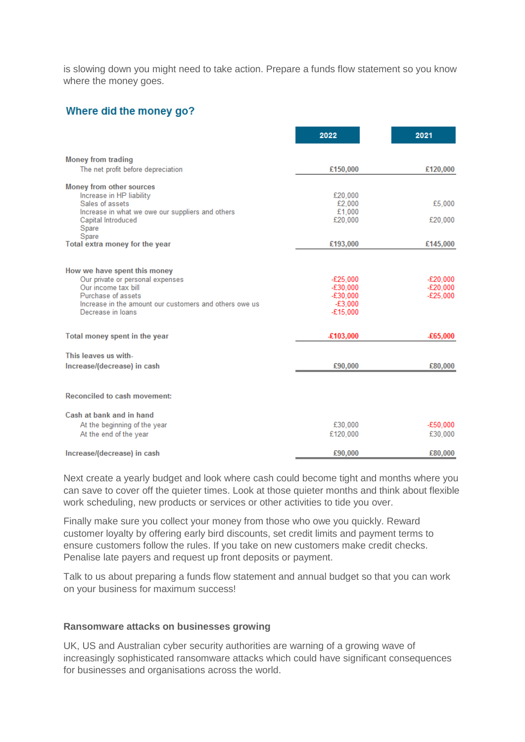is slowing down you might need to take action. Prepare a funds flow statement so you know where the money goes.

# Where did the money go?

|                                                                        | 2022                     | 2021                   |
|------------------------------------------------------------------------|--------------------------|------------------------|
| <b>Money from trading</b>                                              |                          |                        |
| The net profit before depreciation                                     | £150,000                 | £120,000               |
| Money from other sources                                               |                          |                        |
| Increase in HP liability                                               | £20,000                  |                        |
| Sales of assets                                                        | £2,000                   | £5,000                 |
| Increase in what we owe our suppliers and others<br>Capital Introduced | £1,000<br>£20,000        | £20,000                |
| Spare                                                                  |                          |                        |
| Spare<br>Total extra money for the year                                | £193,000                 | £145,000               |
|                                                                        |                          |                        |
|                                                                        |                          |                        |
| How we have spent this money                                           |                          |                        |
| Our private or personal expenses<br>Our income tax bill                | $-E25.000$<br>$-£30,000$ | $-E20.000$<br>-£20,000 |
| Purchase of assets                                                     | $-£30,000$               | $-E25,000$             |
| Increase in the amount our customers and others owe us                 | $-£3.000$                |                        |
| Decrease in loans                                                      | $-£15,000$               |                        |
|                                                                        |                          |                        |
| Total money spent in the year                                          | £103,000                 | £65,000                |
| This leaves us with-                                                   |                          |                        |
| Increase/(decrease) in cash                                            | £90,000                  | £80,000                |
|                                                                        |                          |                        |
| Reconciled to cash movement:                                           |                          |                        |
| Cash at bank and in hand                                               |                          |                        |
| At the beginning of the year                                           | £30,000                  | -£50.000               |
| At the end of the year                                                 | £120,000                 | £30,000                |
| Increase/(decrease) in cash                                            | £90,000                  | £80,000                |

Next create a yearly budget and look where cash could become tight and months where you can save to cover off the quieter times. Look at those quieter months and think about flexible work scheduling, new products or services or other activities to tide you over.

Finally make sure you collect your money from those who owe you quickly. Reward customer loyalty by offering early bird discounts, set credit limits and payment terms to ensure customers follow the rules. If you take on new customers make credit checks. Penalise late payers and request up front deposits or payment.

Talk to us about preparing a funds flow statement and annual budget so that you can work on your business for maximum success!

#### **Ransomware attacks on businesses growing**

UK, US and Australian cyber security authorities are warning of a growing wave of increasingly sophisticated ransomware attacks which could have significant consequences for businesses and organisations across the world.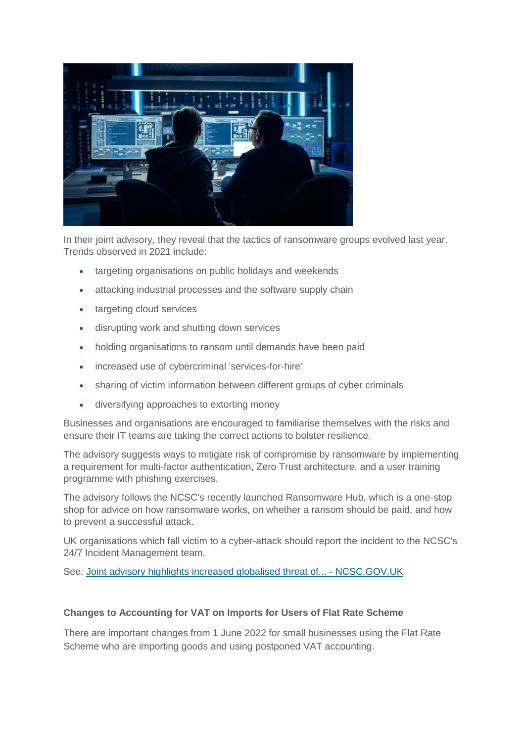

In their joint advisory, they reveal that the tactics of ransomware groups evolved last year. Trends observed in 2021 include:

- targeting organisations on public holidays and weekends
- attacking industrial processes and the software supply chain
- targeting cloud services
- disrupting work and shutting down services
- holding organisations to ransom until demands have been paid
- increased use of cybercriminal 'services-for-hire'
- sharing of victim information between different groups of cyber criminals
- diversifying approaches to extorting money

Businesses and organisations are encouraged to familiarise themselves with the risks and ensure their IT teams are taking the correct actions to bolster resilience.

The advisory suggests ways to mitigate risk of compromise by ransomware by implementing a requirement for multi-factor authentication, Zero Trust architecture, and a user training programme with phishing exercises.

The advisory follows the NCSC's recently launched Ransomware Hub, which is a one-stop shop for advice on how ransomware works, on whether a ransom should be paid, and how to prevent a successful attack.

UK organisations which fall victim to a cyber-attack should report the incident to the NCSC's 24/7 Incident Management team.

See: [Joint advisory highlights increased globalised threat of... -](https://www.ncsc.gov.uk/news/joint-advisory-highlights-increased-globalised-threat-of-ransomware) NCSC.GOV.UK

#### **Changes to Accounting for VAT on Imports for Users of Flat Rate Scheme**

There are important changes from 1 June 2022 for small businesses using the Flat Rate Scheme who are importing goods and using postponed VAT accounting.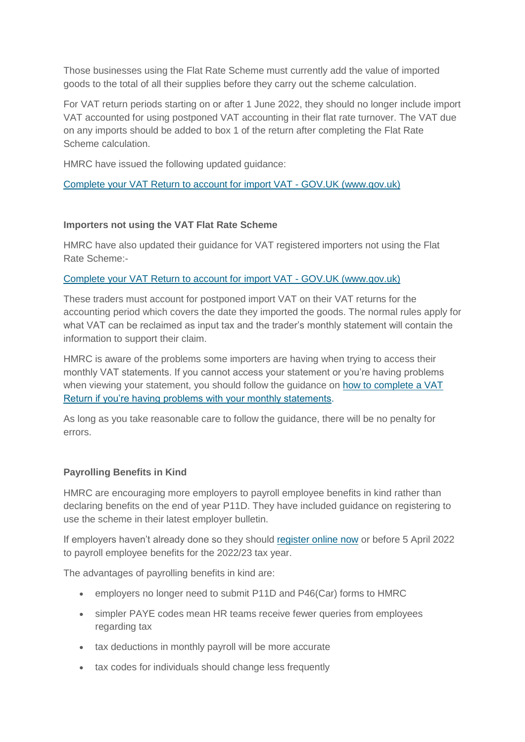Those businesses using the Flat Rate Scheme must currently add the value of imported goods to the total of all their supplies before they carry out the scheme calculation.

For VAT return periods starting on or after 1 June 2022, they should no longer include import VAT accounted for using postponed VAT accounting in their flat rate turnover. The VAT due on any imports should be added to box 1 of the return after completing the Flat Rate Scheme calculation.

HMRC have issued the following updated guidance:

#### [Complete your VAT Return to account for import VAT -](https://www.gov.uk/guidance/complete-your-vat-return-to-account-for-import-vat#if-you-use-a-vat-accounting-scheme) GOV.UK (www.gov.uk)

# **Importers not using the VAT Flat Rate Scheme**

HMRC have also updated their guidance for VAT registered importers not using the Flat Rate Scheme:-

# [Complete your VAT Return to account for import VAT -](https://www.gov.uk/guidance/complete-your-vat-return-to-account-for-import-vat) GOV.UK (www.gov.uk)

These traders must account for postponed import VAT on their VAT returns for the accounting period which covers the date they imported the goods. The normal rules apply for what VAT can be reclaimed as input tax and the trader's monthly statement will contain the information to support their claim.

HMRC is aware of the problems some importers are having when trying to access their monthly VAT statements. If you cannot access your statement or you're having problems when viewing your statement, you should follow the guidance on [how to complete a VAT](https://www.gov.uk/guidance/complete-your-vat-return-to-account-for-import-vat#access)  [Return if you're having problems with your monthly statements.](https://www.gov.uk/guidance/complete-your-vat-return-to-account-for-import-vat#access)

As long as you take reasonable care to follow the guidance, there will be no penalty for errors.

# **Payrolling Benefits in Kind**

HMRC are encouraging more employers to payroll employee benefits in kind rather than declaring benefits on the end of year P11D. They have included guidance on registering to use the scheme in their latest employer bulletin.

If employers haven't already done so they should [register online now](https://www.gov.uk/guidance/report-end-of-year-expenses-and-benefits-online#reporting-online) or before 5 April 2022 to payroll employee benefits for the 2022/23 tax year.

The advantages of payrolling benefits in kind are:

- employers no longer need to submit P11D and P46(Car) forms to HMRC
- simpler PAYE codes mean HR teams receive fewer queries from employees regarding tax
- tax deductions in monthly payroll will be more accurate
- tax codes for individuals should change less frequently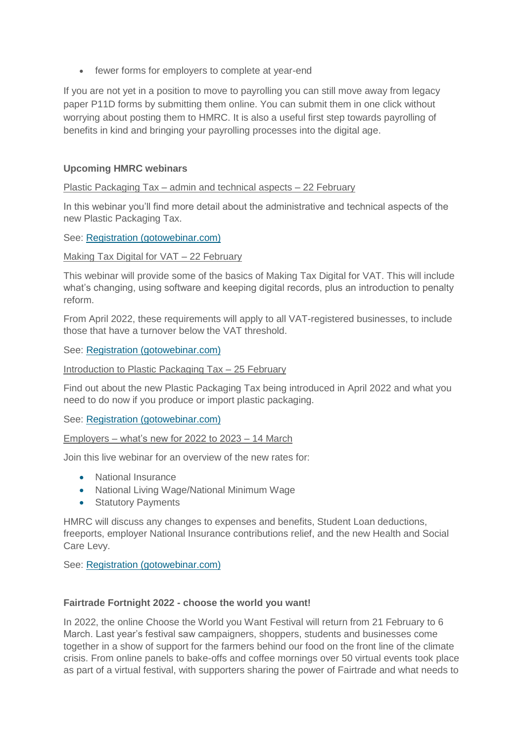• fewer forms for employers to complete at year-end

If you are not yet in a position to move to payrolling you can still move away from legacy paper P11D forms by submitting them online. You can submit them in one click without worrying about posting them to HMRC. It is also a useful first step towards payrolling of benefits in kind and bringing your payrolling processes into the digital age.

# **Upcoming HMRC webinars**

Plastic Packaging Tax – admin and technical aspects – 22 February

In this webinar you'll find more detail about the administrative and technical aspects of the new Plastic Packaging Tax.

See: [Registration \(gotowebinar.com\)](https://register.gotowebinar.com/rt/2353440188684332043?source=Agent-Invite-46)

#### Making Tax Digital for VAT – 22 February

This webinar will provide some of the basics of Making Tax Digital for VAT. This will include what's changing, using software and keeping digital records, plus an introduction to penalty reform.

From April 2022, these requirements will apply to all VAT-registered businesses, to include those that have a turnover below the VAT threshold.

#### See: [Registration \(gotowebinar.com\)](https://register.gotowebinar.com/rt/3410916386353475343?source=Agent-Invite-46)

Introduction to Plastic Packaging Tax - 25 February

Find out about the new Plastic Packaging Tax being introduced in April 2022 and what you need to do now if you produce or import plastic packaging.

# See: [Registration \(gotowebinar.com\)](https://register.gotowebinar.com/rt/7310737896093711372?source=Agent-Invite-46)

Employers – what's new for 2022 to 2023 – 14 March

Join this live webinar for an overview of the new rates for:

- National Insurance
- National Living Wage/National Minimum Wage
- Statutory Payments

HMRC will discuss any changes to expenses and benefits, Student Loan deductions, freeports, employer National Insurance contributions relief, and the new Health and Social Care Levy.

See: [Registration \(gotowebinar.com\)](https://register.gotowebinar.com/rt/2421453779328914190?source=Campaign-Feb-EWN-1)

#### **Fairtrade Fortnight 2022 - choose the world you want!**

In 2022, the online Choose the World you Want Festival will return from 21 February to 6 March. Last year's festival saw campaigners, shoppers, students and businesses come together in a show of support for the farmers behind our food on the front line of the climate crisis. From online panels to bake-offs and coffee mornings over 50 virtual events took place as part of a virtual festival, with supporters sharing the power of Fairtrade and what needs to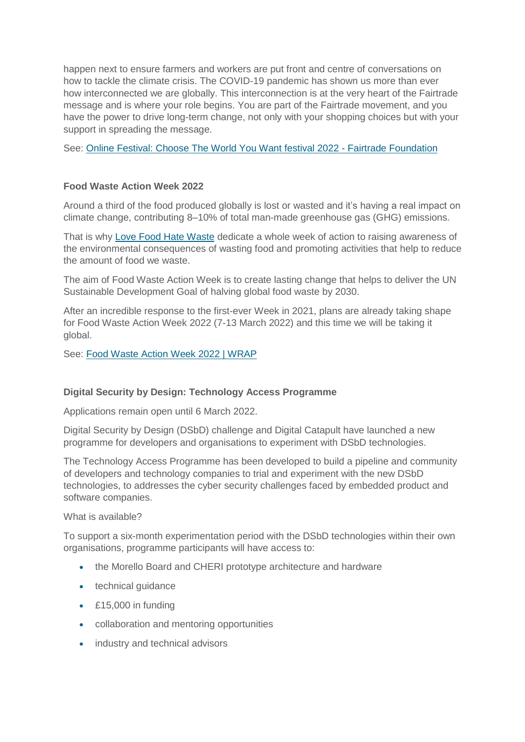happen next to ensure farmers and workers are put front and centre of conversations on how to tackle the climate crisis. The COVID-19 pandemic has shown us more than ever how interconnected we are globally. This interconnection is at the very heart of the Fairtrade message and is where your role begins. You are part of the Fairtrade movement, and you have the power to drive long-term change, not only with your shopping choices but with your support in spreading the message.

See: [Online Festival: Choose The World You Want festival 2022 -](https://www.fairtrade.org.uk/choose-the-world-you-want/) Fairtrade Foundation

# **Food Waste Action Week 2022**

Around a third of the food produced globally is lost or wasted and it's having a real impact on climate change, contributing 8–10% of total man-made greenhouse gas (GHG) emissions.

That is why [Love Food Hate Waste](https://www.lovefoodhatewaste.com/) dedicate a whole week of action to raising awareness of the environmental consequences of wasting food and promoting activities that help to reduce the amount of food we waste.

The aim of Food Waste Action Week is to create lasting change that helps to deliver the UN Sustainable Development Goal of halving global food waste by 2030.

After an incredible response to the first-ever Week in 2021, plans are already taking shape for Food Waste Action Week 2022 (7-13 March 2022) and this time we will be taking it global.

See: [Food Waste Action Week 2022 | WRAP](https://wrap.org.uk/taking-action/citizen-behaviour-change/love-food-hate-waste/key-campaigns/food-waste-action-week)

# **Digital Security by Design: Technology Access Programme**

Applications remain open until 6 March 2022.

Digital Security by Design (DSbD) challenge and Digital Catapult have launched a new programme for developers and organisations to experiment with DSbD technologies.

The Technology Access Programme has been developed to build a pipeline and community of developers and technology companies to trial and experiment with the new DSbD technologies, to addresses the cyber security challenges faced by embedded product and software companies.

What is available?

To support a six-month experimentation period with the DSbD technologies within their own organisations, programme participants will have access to:

- the Morello Board and CHERI prototype architecture and hardware
- technical quidance
- £15,000 in funding
- collaboration and mentoring opportunities
- industry and technical advisors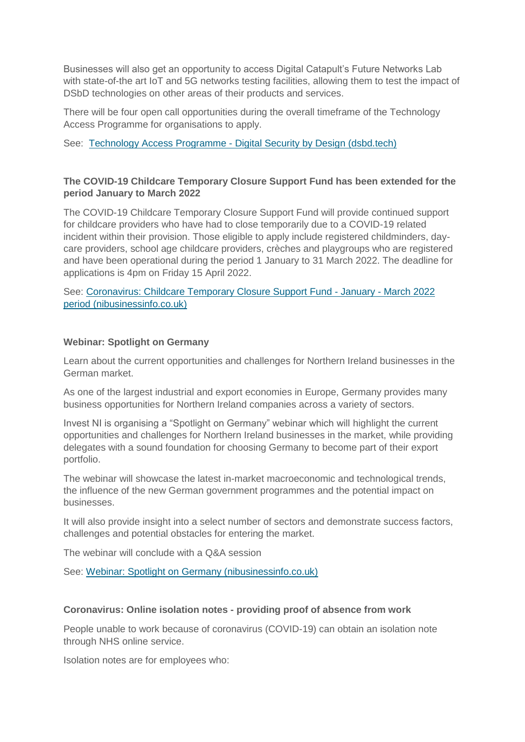Businesses will also get an opportunity to access Digital Catapult's Future Networks Lab with state-of-the art IoT and 5G networks testing facilities, allowing them to test the impact of DSbD technologies on other areas of their products and services.

There will be four open call opportunities during the overall timeframe of the Technology Access Programme for organisations to apply.

See: Technology Access Programme - [Digital Security by Design \(dsbd.tech\)](https://www.dsbd.tech/technology-access-programme/)

# **The COVID-19 Childcare Temporary Closure Support Fund has been extended for the period January to March 2022**

The COVID-19 Childcare Temporary Closure Support Fund will provide continued support for childcare providers who have had to close temporarily due to a COVID-19 related incident within their provision. Those eligible to apply include registered childminders, daycare providers, school age childcare providers, crèches and playgroups who are registered and have been operational during the period 1 January to 31 March 2022. The deadline for applications is 4pm on Friday 15 April 2022.

See: [Coronavirus: Childcare Temporary Closure Support Fund -](https://www.nibusinessinfo.co.uk/content/coronavirus-childcare-temporary-closure-support-fund-january-march-2022-period) January - March 2022 [period \(nibusinessinfo.co.uk\)](https://www.nibusinessinfo.co.uk/content/coronavirus-childcare-temporary-closure-support-fund-january-march-2022-period)

# **Webinar: Spotlight on Germany**

Learn about the current opportunities and challenges for Northern Ireland businesses in the German market.

As one of the largest industrial and export economies in Europe, Germany provides many business opportunities for Northern Ireland companies across a variety of sectors.

Invest NI is organising a "Spotlight on Germany" webinar which will highlight the current opportunities and challenges for Northern Ireland businesses in the market, while providing delegates with a sound foundation for choosing Germany to become part of their export portfolio.

The webinar will showcase the latest in-market macroeconomic and technological trends, the influence of the new German government programmes and the potential impact on businesses.

It will also provide insight into a select number of sectors and demonstrate success factors, challenges and potential obstacles for entering the market.

The webinar will conclude with a Q&A session

See: [Webinar: Spotlight on Germany \(nibusinessinfo.co.uk\)](https://www.nibusinessinfo.co.uk/content/webinar-spotlight-germany)

#### **Coronavirus: Online isolation notes - providing proof of absence from work**

People unable to work because of coronavirus (COVID-19) can obtain an isolation note through NHS online service.

Isolation notes are for employees who: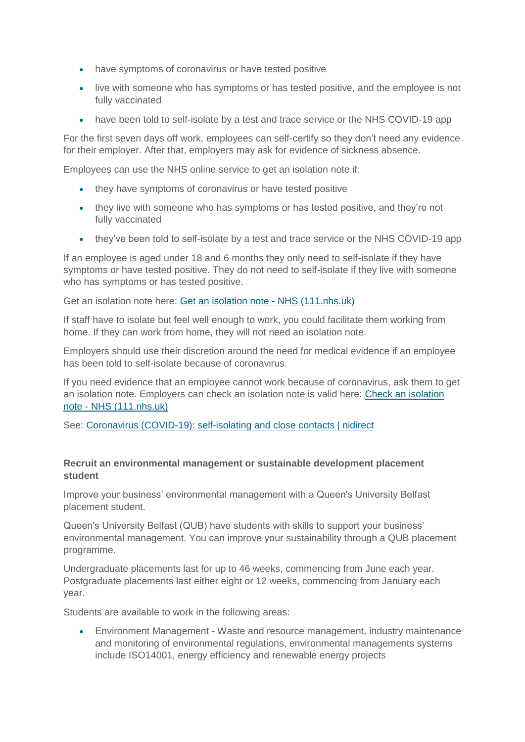- have symptoms of coronavirus or have tested positive
- live with someone who has symptoms or has tested positive, and the employee is not fully vaccinated
- have been told to self-isolate by a test and trace service or the NHS COVID-19 app

For the first seven days off work, employees can self-certify so they don't need any evidence for their employer. After that, employers may ask for evidence of sickness absence.

Employees can use the NHS online service to get an isolation note if:

- they have symptoms of coronavirus or have tested positive
- they live with someone who has symptoms or has tested positive, and they're not fully vaccinated
- they've been told to self-isolate by a test and trace service or the NHS COVID-19 app

If an employee is aged under 18 and 6 months they only need to self-isolate if they have symptoms or have tested positive. They do not need to self-isolate if they live with someone who has symptoms or has tested positive.

Get an isolation note here: [Get an isolation note -](https://111.nhs.uk/isolation-note/) NHS (111.nhs.uk)

If staff have to isolate but feel well enough to work, you could facilitate them working from home. If they can work from home, they will not need an isolation note.

Employers should use their discretion around the need for medical evidence if an employee has been told to self-isolate because of coronavirus.

If you need evidence that an employee cannot work because of coronavirus, ask them to get an isolation note. Employers can check an isolation note is valid here: [Check an isolation](https://111.nhs.uk/isolation-note/check)  note - [NHS \(111.nhs.uk\)](https://111.nhs.uk/isolation-note/check)

See: [Coronavirus \(COVID-19\): self-isolating and close contacts | nidirect](https://www.nidirect.gov.uk/articles/coronavirus-covid-19-self-isolating-and-close-contacts)

#### **Recruit an environmental management or sustainable development placement student**

Improve your business' environmental management with a Queen's University Belfast placement student.

Queen's University Belfast (QUB) have students with skills to support your business' environmental management. You can improve your sustainability through a QUB placement programme.

Undergraduate placements last for up to 46 weeks, commencing from June each year. Postgraduate placements last either eight or 12 weeks, commencing from January each year.

Students are available to work in the following areas:

 Environment Management - Waste and resource management, industry maintenance and monitoring of environmental regulations, environmental managements systems include ISO14001, energy efficiency and renewable energy projects